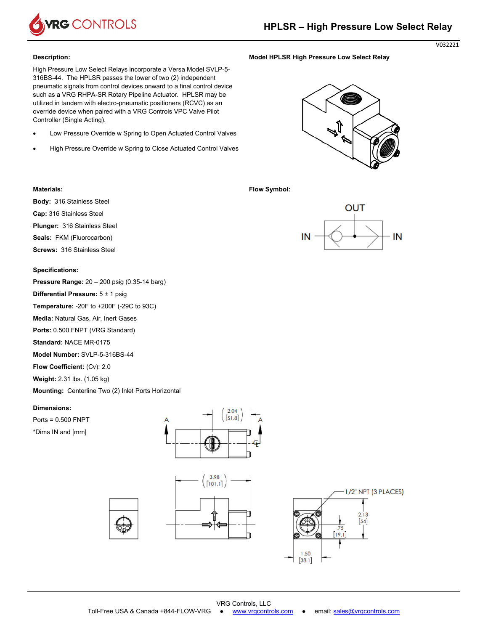

### **Description:**

High Pressure Low Select Relays incorporate a Versa Model SVLP-5- 316BS-44. The HPLSR passes the lower of two (2) independent pneumatic signals from control devices onward to a final control device such as a VRG RHPA-SR Rotary Pipeline Actuator. HPLSR may be utilized in tandem with electro-pneumatic positioners (RCVC) as an override device when paired with a VRG Controls VPC Valve Pilot Controller (Single Acting).

- Low Pressure Override w Spring to Open Actuated Control Valves
- High Pressure Override w Spring to Close Actuated Control Valves

**Model HPLSR High Pressure Low Select Relay** 

**Flow Symbol:** 



# **Materials:**

**Body:** 316 Stainless Steel

**Cap:** 316 Stainless Steel

**Plunger:** 316 Stainless Steel

**Seals:** FKM (Fluorocarbon)

**Screws:** 316 Stainless Steel

## **Specifications:**

**Pressure Range:** 20 – 200 psig (0.35-14 barg)

**Differential Pressure:** 5 ± 1 psig

**Temperature:** -20F to +200F (-29C to 93C)

**Media:** Natural Gas, Air, Inert Gases

**Ports:** 0.500 FNPT (VRG Standard)

**Standard:** NACE MR-0175

**Model Number:** SVLP-5-316BS-44

**Flow Coefficient:** (Cv): 2.0

**Weight:** 2.31 lbs. (1.05 kg)

**Mounting:** Centerline Two (2) Inlet Ports Horizontal

## **Dimensions:**

Ports = 0.500 FNPT

\*Dims IN and [mm]







V032221